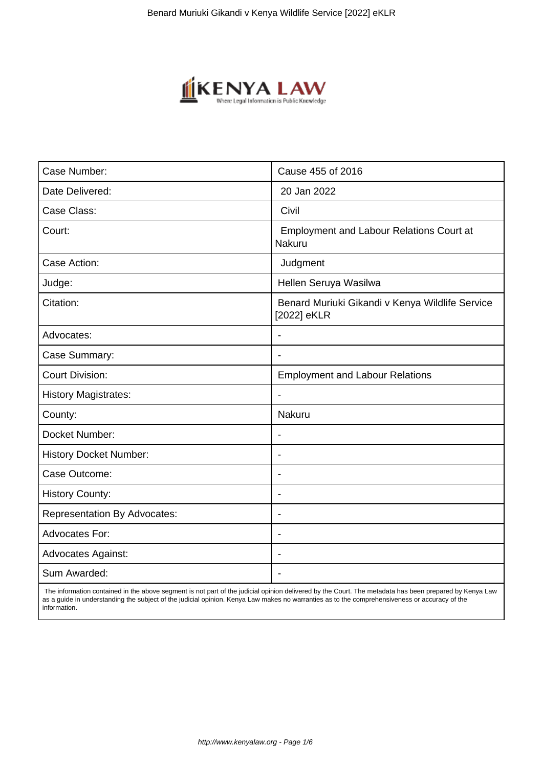

| Case Number:                        | Cause 455 of 2016                                              |
|-------------------------------------|----------------------------------------------------------------|
| Date Delivered:                     | 20 Jan 2022                                                    |
| Case Class:                         | Civil                                                          |
| Court:                              | <b>Employment and Labour Relations Court at</b><br>Nakuru      |
| Case Action:                        | Judgment                                                       |
| Judge:                              | Hellen Seruya Wasilwa                                          |
| Citation:                           | Benard Muriuki Gikandi v Kenya Wildlife Service<br>[2022] eKLR |
| Advocates:                          |                                                                |
| Case Summary:                       | $\overline{\phantom{a}}$                                       |
| <b>Court Division:</b>              | <b>Employment and Labour Relations</b>                         |
| <b>History Magistrates:</b>         | $\blacksquare$                                                 |
| County:                             | Nakuru                                                         |
| Docket Number:                      | $\blacksquare$                                                 |
| <b>History Docket Number:</b>       | $\overline{\phantom{a}}$                                       |
| Case Outcome:                       | $\blacksquare$                                                 |
| <b>History County:</b>              | $\overline{\phantom{0}}$                                       |
| <b>Representation By Advocates:</b> | $\blacksquare$                                                 |
| <b>Advocates For:</b>               | $\overline{a}$                                                 |
| Advocates Against:                  | $\overline{\phantom{0}}$                                       |
| Sum Awarded:                        |                                                                |

 The information contained in the above segment is not part of the judicial opinion delivered by the Court. The metadata has been prepared by Kenya Law as a guide in understanding the subject of the judicial opinion. Kenya Law makes no warranties as to the comprehensiveness or accuracy of the information.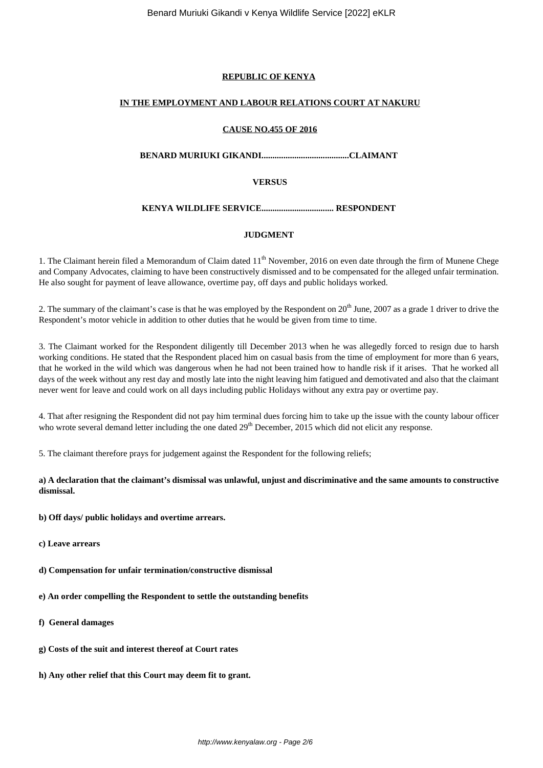## **REPUBLIC OF KENYA**

## **IN THE EMPLOYMENT AND LABOUR RELATIONS COURT AT NAKURU**

### **CAUSE NO.455 OF 2016**

**BENARD MURIUKI GIKANDI........................................CLAIMANT**

## **VERSUS**

## **KENYA WILDLIFE SERVICE................................. RESPONDENT**

## **JUDGMENT**

1. The Claimant herein filed a Memorandum of Claim dated  $11<sup>th</sup>$  November, 2016 on even date through the firm of Munene Chege and Company Advocates, claiming to have been constructively dismissed and to be compensated for the alleged unfair termination. He also sought for payment of leave allowance, overtime pay, off days and public holidays worked.

2. The summary of the claimant's case is that he was employed by the Respondent on  $20<sup>th</sup>$  June,  $2007$  as a grade 1 driver to drive the Respondent's motor vehicle in addition to other duties that he would be given from time to time.

3. The Claimant worked for the Respondent diligently till December 2013 when he was allegedly forced to resign due to harsh working conditions. He stated that the Respondent placed him on casual basis from the time of employment for more than 6 years, that he worked in the wild which was dangerous when he had not been trained how to handle risk if it arises. That he worked all days of the week without any rest day and mostly late into the night leaving him fatigued and demotivated and also that the claimant never went for leave and could work on all days including public Holidays without any extra pay or overtime pay.

4. That after resigning the Respondent did not pay him terminal dues forcing him to take up the issue with the county labour officer who wrote several demand letter including the one dated  $29<sup>th</sup>$  December, 2015 which did not elicit any response.

5. The claimant therefore prays for judgement against the Respondent for the following reliefs;

## **a) A declaration that the claimant's dismissal was unlawful, unjust and discriminative and the same amounts to constructive dismissal.**

**b) Off days/ public holidays and overtime arrears.**

- **c) Leave arrears**
- **d) Compensation for unfair termination/constructive dismissal**
- **e) An order compelling the Respondent to settle the outstanding benefits**
- **f) General damages**
- **g) Costs of the suit and interest thereof at Court rates**
- **h) Any other relief that this Court may deem fit to grant.**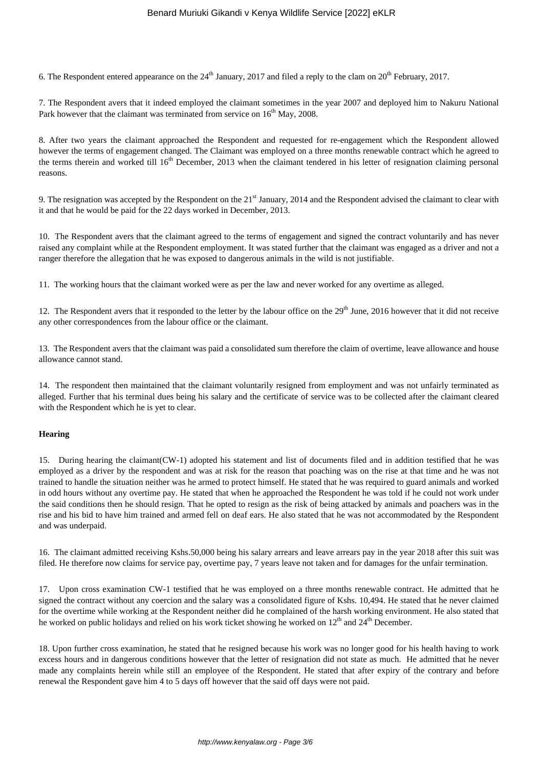6. The Respondent entered appearance on the  $24<sup>th</sup>$  January, 2017 and filed a reply to the clam on  $20<sup>th</sup>$  February, 2017.

7. The Respondent avers that it indeed employed the claimant sometimes in the year 2007 and deployed him to Nakuru National Park however that the claimant was terminated from service on 16<sup>th</sup> May, 2008.

8. After two years the claimant approached the Respondent and requested for re-engagement which the Respondent allowed however the terms of engagement changed. The Claimant was employed on a three months renewable contract which he agreed to the terms therein and worked till 16<sup>th</sup> December, 2013 when the claimant tendered in his letter of resignation claiming personal reasons.

9. The resignation was accepted by the Respondent on the  $21<sup>st</sup>$  January, 2014 and the Respondent advised the claimant to clear with it and that he would be paid for the 22 days worked in December, 2013.

10. The Respondent avers that the claimant agreed to the terms of engagement and signed the contract voluntarily and has never raised any complaint while at the Respondent employment. It was stated further that the claimant was engaged as a driver and not a ranger therefore the allegation that he was exposed to dangerous animals in the wild is not justifiable.

11. The working hours that the claimant worked were as per the law and never worked for any overtime as alleged.

12. The Respondent avers that it responded to the letter by the labour office on the 29<sup>th</sup> June, 2016 however that it did not receive any other correspondences from the labour office or the claimant.

13. The Respondent avers that the claimant was paid a consolidated sum therefore the claim of overtime, leave allowance and house allowance cannot stand.

14. The respondent then maintained that the claimant voluntarily resigned from employment and was not unfairly terminated as alleged. Further that his terminal dues being his salary and the certificate of service was to be collected after the claimant cleared with the Respondent which he is yet to clear.

#### **Hearing**

15. During hearing the claimant(CW-1) adopted his statement and list of documents filed and in addition testified that he was employed as a driver by the respondent and was at risk for the reason that poaching was on the rise at that time and he was not trained to handle the situation neither was he armed to protect himself. He stated that he was required to guard animals and worked in odd hours without any overtime pay. He stated that when he approached the Respondent he was told if he could not work under the said conditions then he should resign. That he opted to resign as the risk of being attacked by animals and poachers was in the rise and his bid to have him trained and armed fell on deaf ears. He also stated that he was not accommodated by the Respondent and was underpaid.

16. The claimant admitted receiving Kshs.50,000 being his salary arrears and leave arrears pay in the year 2018 after this suit was filed. He therefore now claims for service pay, overtime pay, 7 years leave not taken and for damages for the unfair termination.

17. Upon cross examination CW-1 testified that he was employed on a three months renewable contract. He admitted that he signed the contract without any coercion and the salary was a consolidated figure of Kshs. 10,494. He stated that he never claimed for the overtime while working at the Respondent neither did he complained of the harsh working environment. He also stated that he worked on public holidays and relied on his work ticket showing he worked on  $12<sup>th</sup>$  and  $24<sup>th</sup>$  December.

18. Upon further cross examination, he stated that he resigned because his work was no longer good for his health having to work excess hours and in dangerous conditions however that the letter of resignation did not state as much. He admitted that he never made any complaints herein while still an employee of the Respondent. He stated that after expiry of the contrary and before renewal the Respondent gave him 4 to 5 days off however that the said off days were not paid.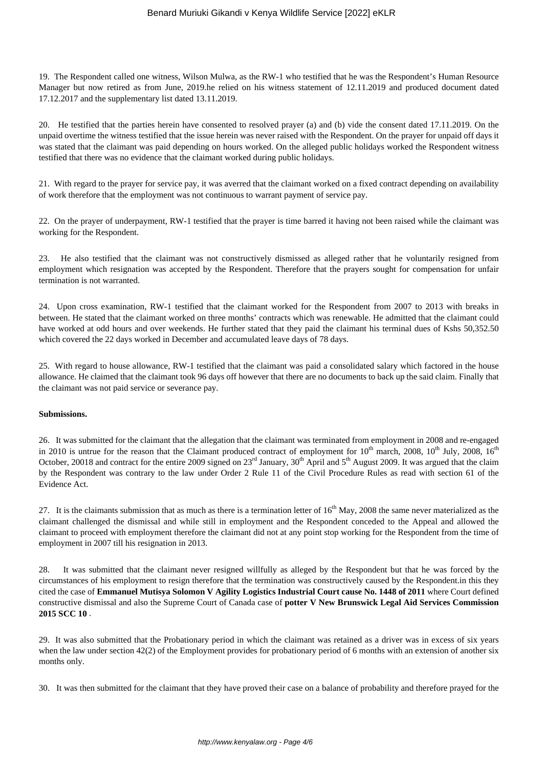19. The Respondent called one witness, Wilson Mulwa, as the RW-1 who testified that he was the Respondent's Human Resource Manager but now retired as from June, 2019.he relied on his witness statement of 12.11.2019 and produced document dated 17.12.2017 and the supplementary list dated 13.11.2019.

20. He testified that the parties herein have consented to resolved prayer (a) and (b) vide the consent dated 17.11.2019. On the unpaid overtime the witness testified that the issue herein was never raised with the Respondent. On the prayer for unpaid off days it was stated that the claimant was paid depending on hours worked. On the alleged public holidays worked the Respondent witness testified that there was no evidence that the claimant worked during public holidays.

21. With regard to the prayer for service pay, it was averred that the claimant worked on a fixed contract depending on availability of work therefore that the employment was not continuous to warrant payment of service pay.

22. On the prayer of underpayment, RW-1 testified that the prayer is time barred it having not been raised while the claimant was working for the Respondent.

23. He also testified that the claimant was not constructively dismissed as alleged rather that he voluntarily resigned from employment which resignation was accepted by the Respondent. Therefore that the prayers sought for compensation for unfair termination is not warranted.

24. Upon cross examination, RW-1 testified that the claimant worked for the Respondent from 2007 to 2013 with breaks in between. He stated that the claimant worked on three months' contracts which was renewable. He admitted that the claimant could have worked at odd hours and over weekends. He further stated that they paid the claimant his terminal dues of Kshs 50,352.50 which covered the 22 days worked in December and accumulated leave days of 78 days.

25. With regard to house allowance, RW-1 testified that the claimant was paid a consolidated salary which factored in the house allowance. He claimed that the claimant took 96 days off however that there are no documents to back up the said claim. Finally that the claimant was not paid service or severance pay.

## **Submissions.**

26. It was submitted for the claimant that the allegation that the claimant was terminated from employment in 2008 and re-engaged in 2010 is untrue for the reason that the Claimant produced contract of employment for  $10^{th}$  march, 2008,  $10^{th}$  July, 2008,  $16^{th}$ October, 20018 and contract for the entire 2009 signed on 23<sup>rd</sup> January, 30<sup>th</sup> April and 5<sup>th</sup> August 2009. It was argued that the claim by the Respondent was contrary to the law under Order 2 Rule 11 of the Civil Procedure Rules as read with section 61 of the Evidence Act.

27. It is the claimants submission that as much as there is a termination letter of  $16<sup>th</sup>$  May, 2008 the same never materialized as the claimant challenged the dismissal and while still in employment and the Respondent conceded to the Appeal and allowed the claimant to proceed with employment therefore the claimant did not at any point stop working for the Respondent from the time of employment in 2007 till his resignation in 2013.

28. It was submitted that the claimant never resigned willfully as alleged by the Respondent but that he was forced by the circumstances of his employment to resign therefore that the termination was constructively caused by the Respondent.in this they cited the case of **Emmanuel Mutisya Solomon V Agility Logistics Industrial Court cause No. 1448 of 2011** where Court defined constructive dismissal and also the Supreme Court of Canada case of **potter V New Brunswick Legal Aid Services Commission 2015 SCC 10** .

29. It was also submitted that the Probationary period in which the claimant was retained as a driver was in excess of six years when the law under section 42(2) of the Employment provides for probationary period of 6 months with an extension of another six months only.

30. It was then submitted for the claimant that they have proved their case on a balance of probability and therefore prayed for the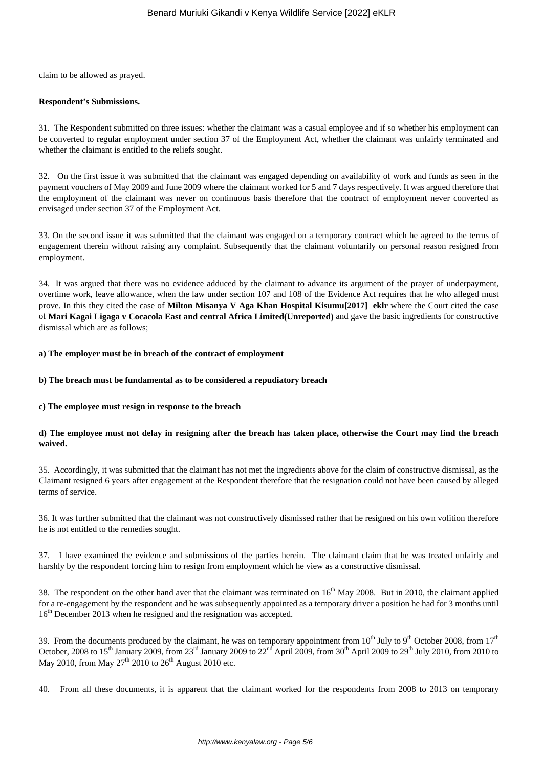claim to be allowed as prayed.

#### **Respondent's Submissions.**

31. The Respondent submitted on three issues: whether the claimant was a casual employee and if so whether his employment can be converted to regular employment under section 37 of the Employment Act, whether the claimant was unfairly terminated and whether the claimant is entitled to the reliefs sought.

32. On the first issue it was submitted that the claimant was engaged depending on availability of work and funds as seen in the payment vouchers of May 2009 and June 2009 where the claimant worked for 5 and 7 days respectively. It was argued therefore that the employment of the claimant was never on continuous basis therefore that the contract of employment never converted as envisaged under section 37 of the Employment Act.

33. On the second issue it was submitted that the claimant was engaged on a temporary contract which he agreed to the terms of engagement therein without raising any complaint. Subsequently that the claimant voluntarily on personal reason resigned from employment.

34. It was argued that there was no evidence adduced by the claimant to advance its argument of the prayer of underpayment, overtime work, leave allowance, when the law under section 107 and 108 of the Evidence Act requires that he who alleged must prove. In this they cited the case of **Milton Misanya V Aga Khan Hospital Kisumu[2017] eklr** where the Court cited the case of **Mari Kagai Ligaga v Cocacola East and central Africa Limited(Unreported)** and gave the basic ingredients for constructive dismissal which are as follows;

#### **a) The employer must be in breach of the contract of employment**

#### **b) The breach must be fundamental as to be considered a repudiatory breach**

## **c) The employee must resign in response to the breach**

## **d) The employee must not delay in resigning after the breach has taken place, otherwise the Court may find the breach waived.**

35. Accordingly, it was submitted that the claimant has not met the ingredients above for the claim of constructive dismissal, as the Claimant resigned 6 years after engagement at the Respondent therefore that the resignation could not have been caused by alleged terms of service.

36. It was further submitted that the claimant was not constructively dismissed rather that he resigned on his own volition therefore he is not entitled to the remedies sought.

37. I have examined the evidence and submissions of the parties herein. The claimant claim that he was treated unfairly and harshly by the respondent forcing him to resign from employment which he view as a constructive dismissal.

38. The respondent on the other hand aver that the claimant was terminated on  $16<sup>th</sup>$  May 2008. But in 2010, the claimant applied for a re-engagement by the respondent and he was subsequently appointed as a temporary driver a position he had for 3 months until 16<sup>th</sup> December 2013 when he resigned and the resignation was accepted.

39. From the documents produced by the claimant, he was on temporary appointment from  $10^{th}$  July to  $9^{th}$  October 2008, from  $17^{th}$ October, 2008 to 15<sup>th</sup> January 2009, from 23<sup>rd</sup> January 2009 to 22<sup>nd</sup> April 2009, from 30<sup>th</sup> April 2009 to 29<sup>th</sup> July 2010, from 2010 to May 2010, from May  $27<sup>th</sup>$  2010 to  $26<sup>th</sup>$  August 2010 etc.

40. From all these documents, it is apparent that the claimant worked for the respondents from 2008 to 2013 on temporary